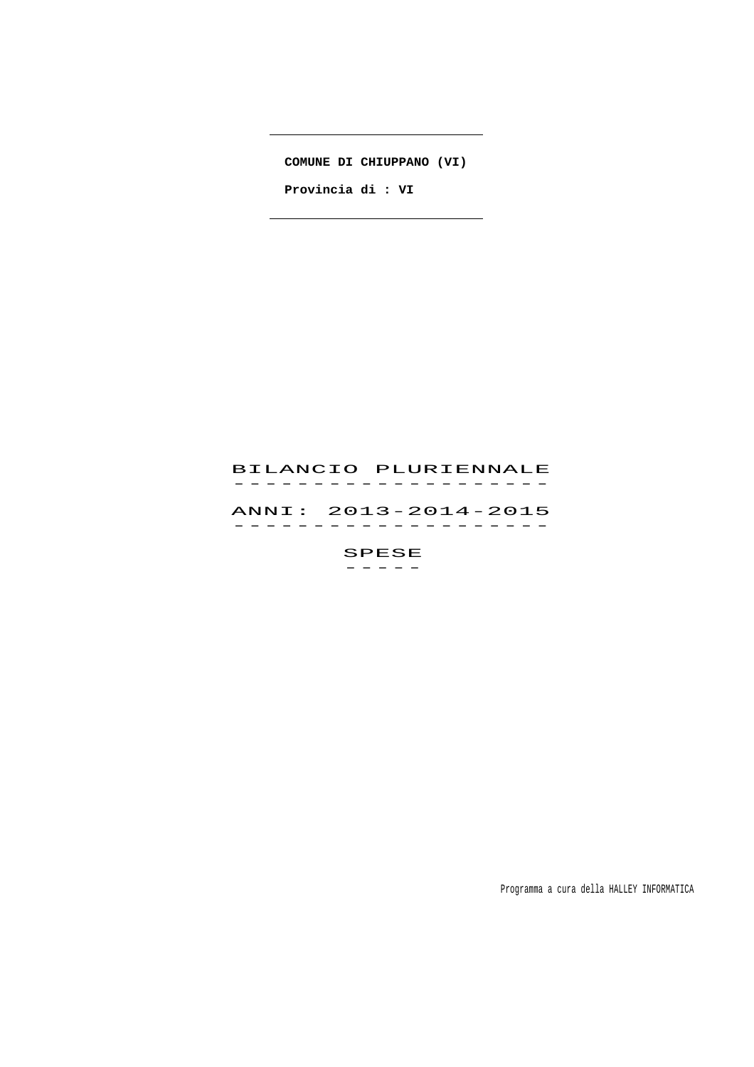**COMUNE DI CHIUPPANO (VI)**

 $\overline{\phantom{a}}$ 

 $\overline{a}$ 

 **Provincia di : VI** 

# BILANCIO PLURIENNALE -------------------<br>BILANCIO PLURIENNALE ANNI: 2013-2014-2015 ANNI: 2013–2014–2015<br>------------------SPESE

 $-$ 

Programma a cura della HALLEY INFORMATICA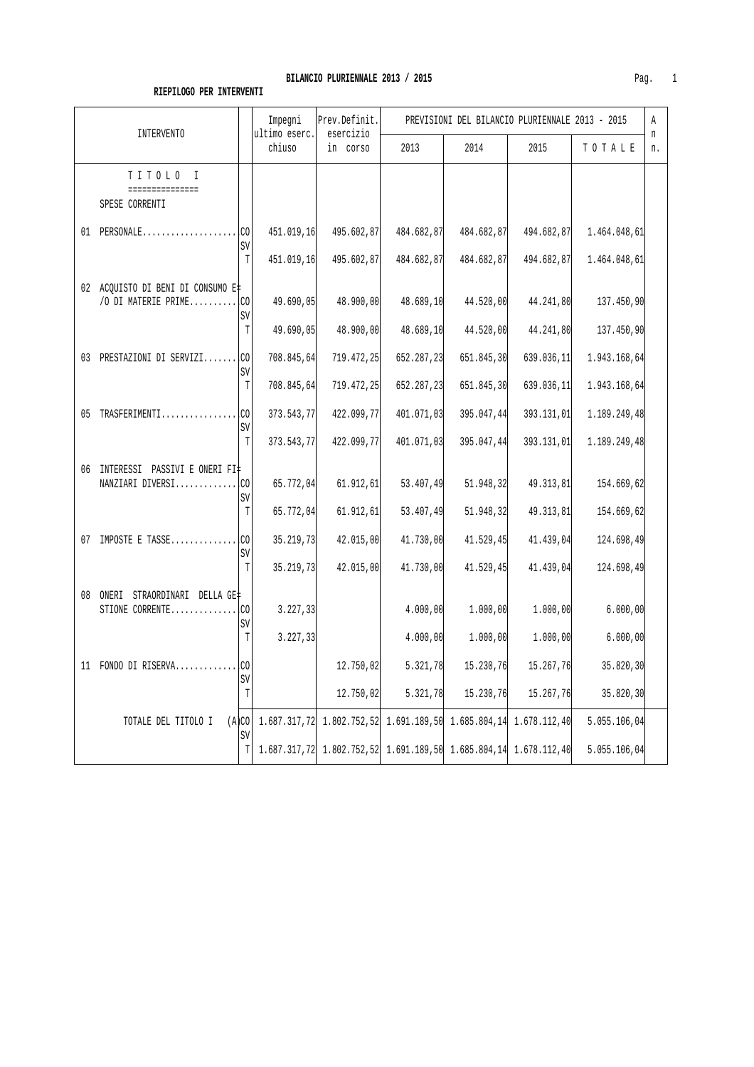|                                                                       | Impegni<br>Prev.Definit.<br>ultimo eserc.<br>esercizio                            |            | PREVISIONI DEL BILANCIO PLURIENNALE 2013 - 2015 |            |            |              | Α       |
|-----------------------------------------------------------------------|-----------------------------------------------------------------------------------|------------|-------------------------------------------------|------------|------------|--------------|---------|
| <b>INTERVENTO</b>                                                     | chiuso                                                                            | in corso   | 2013                                            | 2014       | 2015       | TOTALE       | n<br>n. |
| TITOLO I<br>===============<br>SPESE CORRENTI                         |                                                                                   |            |                                                 |            |            |              |         |
| $01$ PERSONALE<br>SV                                                  | 451.019,16                                                                        | 495.602,87 | 484.682,87                                      | 484.682,87 | 494.682,87 | 1.464.048,61 |         |
| $\mathbb T$                                                           | 451.019,16                                                                        | 495.602,87 | 484.682,87                                      | 484.682,87 | 494.682,87 | 1.464.048,61 |         |
| 02 ACQUISTO DI BENI DI CONSUMO E‡<br>/O DI MATERIE PRIME<br>.co<br>SV | 49.690,05                                                                         | 48.900,00  | 48.689,10                                       | 44.520,00  | 44.241,80  | 137.450,90   |         |
| T                                                                     | 49.690,05                                                                         | 48.900,00  | 48.689,10                                       | 44.520,00  | 44.241,80  | 137.450,90   |         |
| 03 PRESTAZIONI DI SERVIZI CO<br>SV                                    | 708.845,64                                                                        | 719.472,25 | 652.287,23                                      | 651.845,30 | 639.036,11 | 1.943.168,64 |         |
| $\mathbb T$                                                           | 708.845,64                                                                        | 719.472,25 | 652.287,23                                      | 651.845,30 | 639.036,11 | 1.943.168,64 |         |
| 05 TRASFERIMENTICO                                                    | 373.543,77                                                                        | 422.099,77 | 401.071,03                                      | 395.047,44 | 393.131,01 | 1.189.249,48 |         |
| SV<br>$\mathbb T$                                                     | 373.543,77                                                                        | 422.099,77 | 401.071,03                                      | 395.047,44 | 393.131,01 | 1.189.249,48 |         |
| 06 INTERESSI PASSIVI E ONERI FI‡<br>NANZIARI DIVERSICO<br>SV          | 65.772,04                                                                         | 61.912, 61 | 53.407,49                                       | 51.948,32  | 49.313,81  | 154.669,62   |         |
| T                                                                     | 65.772,04                                                                         | 61.912, 61 | 53.407,49                                       | 51.948,32  | 49.313,81  | 154.669,62   |         |
| 07 IMPOSTE E TASSE<br>.co<br>SV                                       | 35.219,73                                                                         | 42.015,00  | 41.730,00                                       | 41.529,45  | 41.439,04  | 124.698,49   |         |
| T                                                                     | 35.219,73                                                                         | 42.015,00  | 41.730,00                                       | 41.529,45  | 41.439,04  | 124.698,49   |         |
| 08 ONERI STRAORDINARI DELLA GE‡                                       |                                                                                   |            |                                                 |            |            |              |         |
| .co<br>STIONE CORRENTE<br>SV                                          | 3.227, 33                                                                         |            | 4.000,00                                        | 1.000,00   | 1,000,00   | 6.000,00     |         |
| T                                                                     | 3.227,33                                                                          |            | 4.000,00                                        | 1.000,00   | 1,000,00   | 6.000,00     |         |
| 11 FONDO DI RISERVACO<br>SV                                           |                                                                                   | 12.750,02  | 5.321,78                                        | 15.230,76  | 15.267,76  | 35.820,30    |         |
| T                                                                     |                                                                                   | 12.750,02  | 5.321,78                                        | 15.230,76  | 15.267,76  | 35.820,30    |         |
| TOTALE DEL TITOLO I<br>SV                                             | $(A CO  1.687.317.72   1.802.752.52   1.691.189.50   1.685.804.14   1.678.112.40$ |            |                                                 |            |            | 5.055.106,04 |         |
|                                                                       | $T$ 1.687.317,72 1.802.752,52 1.691.189,50 1.685.804,14 1.678.112,40              |            |                                                 |            |            | 5.055.106,04 |         |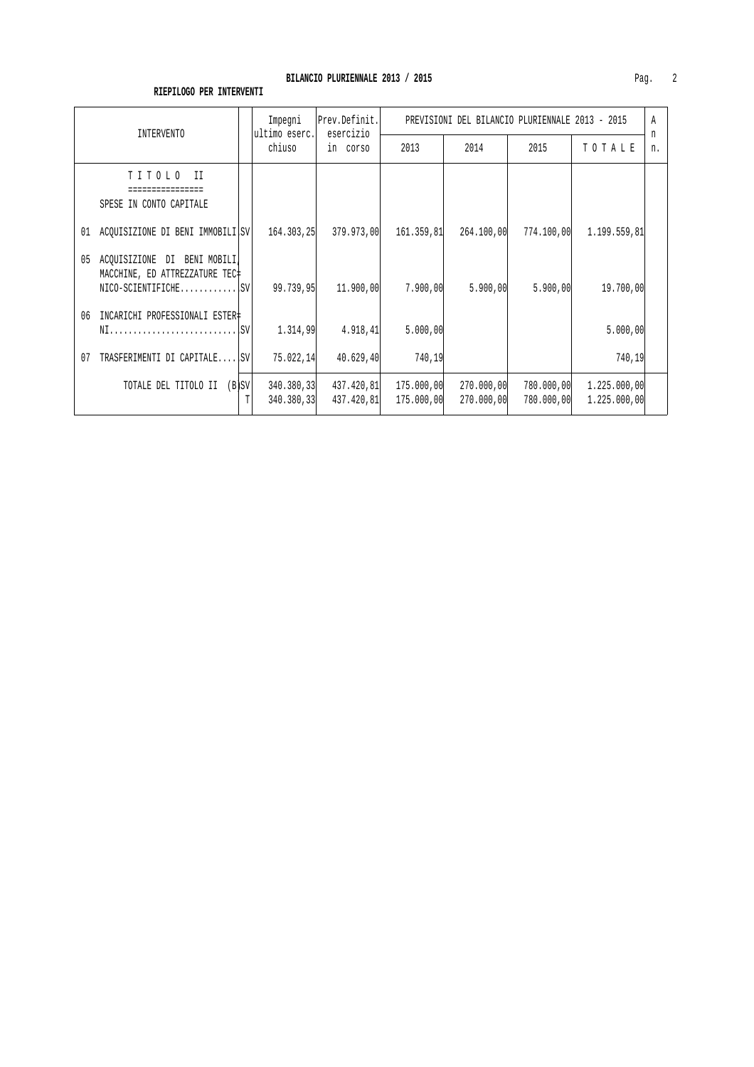| INTERVENTO                                                                                  | Impegni<br>ultimo eserc. | Prev.Definit.<br>esercizio | PREVISIONI DEL BILANCIO PLURIENNALE 2013 - 2015 |                          |                          |                              |         |
|---------------------------------------------------------------------------------------------|--------------------------|----------------------------|-------------------------------------------------|--------------------------|--------------------------|------------------------------|---------|
|                                                                                             | chiuso                   | in corso                   | 2013                                            | 2014                     | 2015                     | TOTALE                       | n<br>n. |
| TITOLO II<br>================<br>SPESE IN CONTO CAPITALE                                    |                          |                            |                                                 |                          |                          |                              |         |
| ACQUISIZIONE DI BENI IMMOBILI, SV<br>01                                                     | 164.303,25               | 379.973,00                 | 161.359,81                                      | 264.100,00               | 774.100,00               | 1.199.559,81                 |         |
| ACOUISIZIONE DI BENI MOBILI,<br>05<br>MACCHINE, ED ATTREZZATURE TEC#<br>$NICO-SCIENTIFICHE$ | 99.739,95                | 11,900,00                  | 7.900,00                                        | 5.900,00                 | 5.900,00                 | 19,700,00                    |         |
| 06<br>INCARICHI PROFESSIONALI ESTER‡<br>NIISV                                               | 1.314,99                 | 4.918, 41                  | 5.000,00                                        |                          |                          | 5.000,00                     |         |
| TRASFERIMENTI DI CAPITALE ISVI<br>07                                                        | 75.022, 14               | 40.629,40                  | 740,19                                          |                          |                          | 740,19                       |         |
| $(B)$ SV<br>TOTALE DEL TITOLO II                                                            | 340.380,33<br>340.380,33 | 437.420,81<br>437.420,81   | 175.000,00<br>175.000,00                        | 270.000,00<br>270.000,00 | 780.000,00<br>780.000,00 | 1.225.000,00<br>1.225.000,00 |         |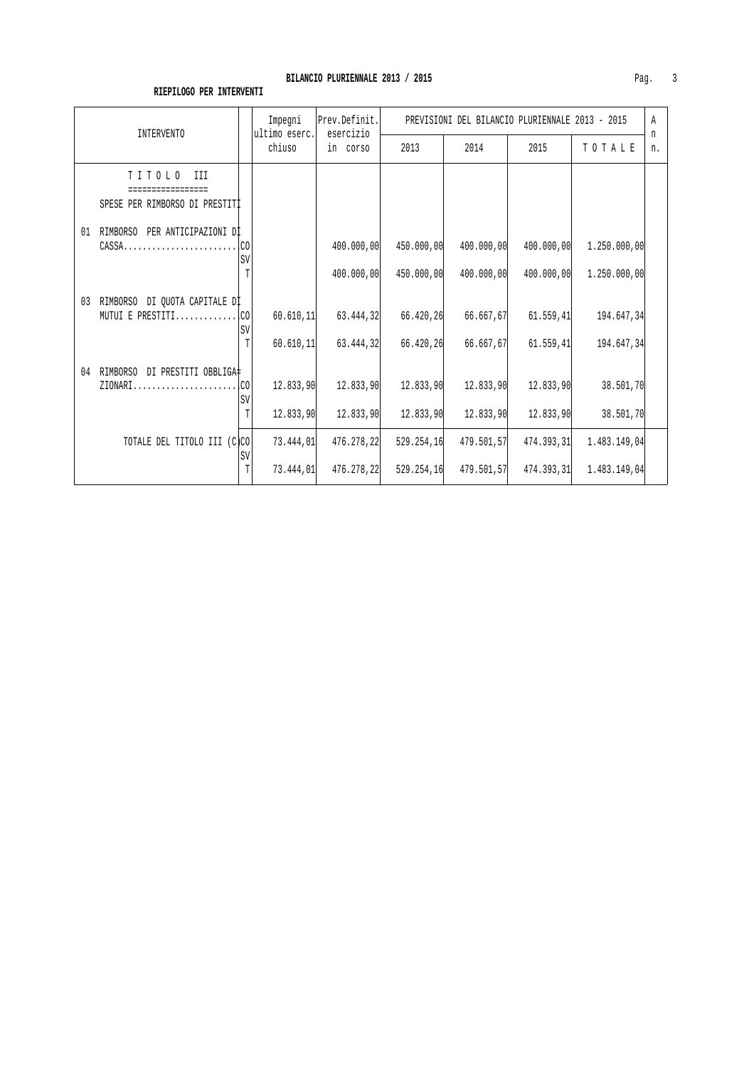| INTERVENTO                                              |                | Impegni<br>Prev.Definit.<br>ultimo eserc.<br>esercizio |                          | PREVISIONI DEL BILANCIO PLURIENNALE 2013 - 2015 |                          |                          |                              | Α       |
|---------------------------------------------------------|----------------|--------------------------------------------------------|--------------------------|-------------------------------------------------|--------------------------|--------------------------|------------------------------|---------|
|                                                         |                | chiuso                                                 | in corso                 | 2013                                            | 2014                     | 2015                     | TOTALE                       | n<br>n. |
| TITOLO<br>III<br>SPESE PER RIMBORSO DI PRESTITI         |                |                                                        |                          |                                                 |                          |                          |                              |         |
| RIMBORSO PER ANTICIPAZIONI DI<br>01                     | SV             |                                                        | 400.000,00<br>400,000,00 | 450.000,00<br>450.000,00                        | 400.000,00<br>400.000,00 | 400.000,00<br>400.000,00 | 1.250.000,00<br>1.250.000,00 |         |
| RIMBORSO DI QUOTA CAPITALE DI<br>03<br>MUTUI E PRESTITI | .CO<br>SV<br>T | 60.610, 11<br>60.610, 11                               | 63.444,32<br>63.444,32   | 66.420,26<br>66.420,26                          | 66.667,67<br>66.667,67   | 61.559, 41<br>61.559,41  | 194.647,34<br>194.647,34     |         |
| RIMBORSO DI PRESTITI OBBLIGA#<br>04<br>$ZIONARI$        | .CO<br>SV<br>T | 12.833,90<br>12.833,90                                 | 12.833.90<br>12.833.90   | 12.833,90<br>12.833,90                          | 12.833,90<br>12.833,90   | 12.833.90<br>12.833,90   | 38.501,70<br>38.501,70       |         |
| TOTALE DEL TITOLO III (C)CO                             | SV<br>T        | 73.444,01<br>73.444.01                                 | 476.278,22<br>476.278,22 | 529.254,16<br>529.254,16                        | 479.501,57<br>479.501,57 | 474.393,31<br>474.393.31 | 1.483.149,04<br>1.483.149,04 |         |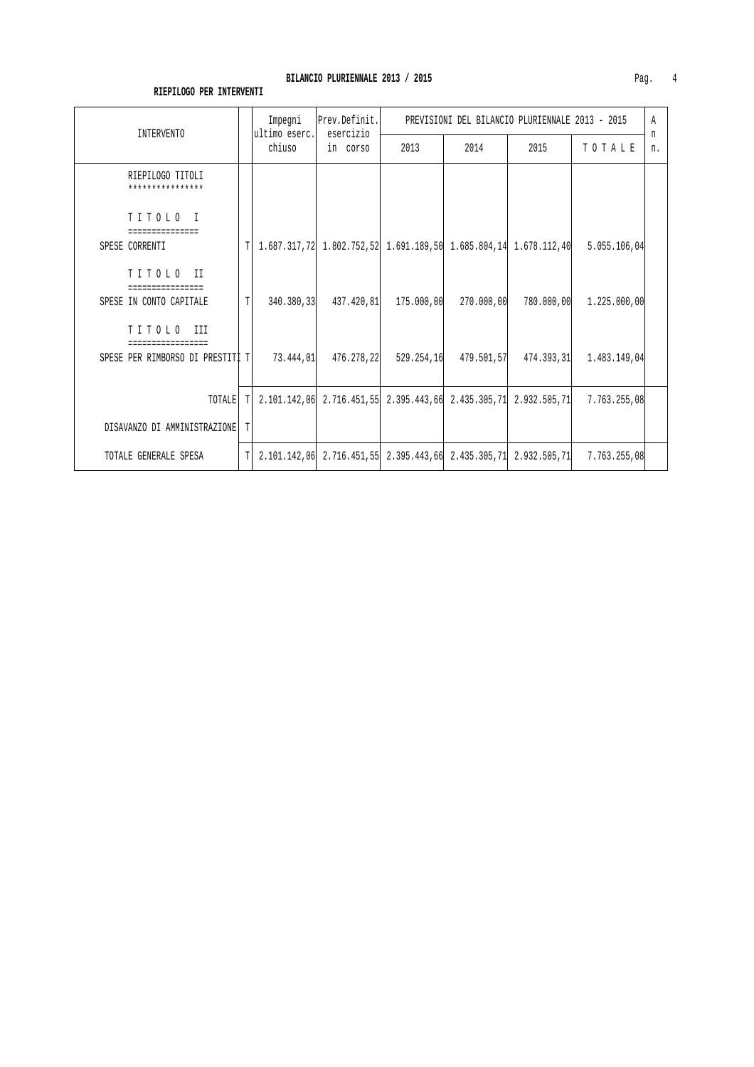|                                      |             | Prev.Definit.<br>Impegni<br>ultimo eserc.<br>esercizio |                                           | PREVISIONI DEL BILANCIO PLURIENNALE 2013 - 2015 |            |            |                                                                                           | $\mathbb{A}$ |
|--------------------------------------|-------------|--------------------------------------------------------|-------------------------------------------|-------------------------------------------------|------------|------------|-------------------------------------------------------------------------------------------|--------------|
| INTERVENTO                           |             | chiuso                                                 | in corso                                  | 2013                                            | 2014       | 2015       | TOTALE                                                                                    | n<br>n.      |
| RIEPILOGO TITOLI<br>**************** |             |                                                        |                                           |                                                 |            |            |                                                                                           |              |
| TITOLO I<br>===============          |             |                                                        |                                           |                                                 |            |            |                                                                                           |              |
| SPESE CORRENTI                       | T           |                                                        |                                           |                                                 |            |            | $1.687.317,72$ $1.802.752,52$ $1.691.189,50$ $1.685.804,14$ $1.678.112,40$ $5.055.106,04$ |              |
| TITOLO II                            |             |                                                        |                                           |                                                 |            |            |                                                                                           |              |
| SPESE IN CONTO CAPITALE              | $\mathbb T$ |                                                        | $340.380, 33$ $437.420, 81$ $175.000, 00$ |                                                 | 270.000,00 | 780.000,00 | 1.225.000,00                                                                              |              |
| TITOLO III                           |             |                                                        |                                           |                                                 |            |            |                                                                                           |              |
| SPESE PER RIMBORSO DI PRESTITI T     |             |                                                        |                                           |                                                 |            |            | 73.444,01 476.278,22 529.254,16 479.501,57 474.393,31 1.483.149,04                        |              |
|                                      |             |                                                        |                                           |                                                 |            |            |                                                                                           |              |
| TOTALE                               | T           |                                                        |                                           |                                                 |            |            | 2.101.142.06 2.716.451.55 2.395.443.66 2.435.305.71 2.932.505.71 7.763.255.08             |              |
| DISAVANZO DI AMMINISTRAZIONE         | T           |                                                        |                                           |                                                 |            |            |                                                                                           |              |
| TOTALE GENERALE SPESA                | T           |                                                        |                                           |                                                 |            |            | 2.101.142.06 2.716.451.55 2.395.443.66 2.435.305.71 2.932.505.71 7.763.255.08             |              |

#### **RIEPILOGO PER INTERVENTI**